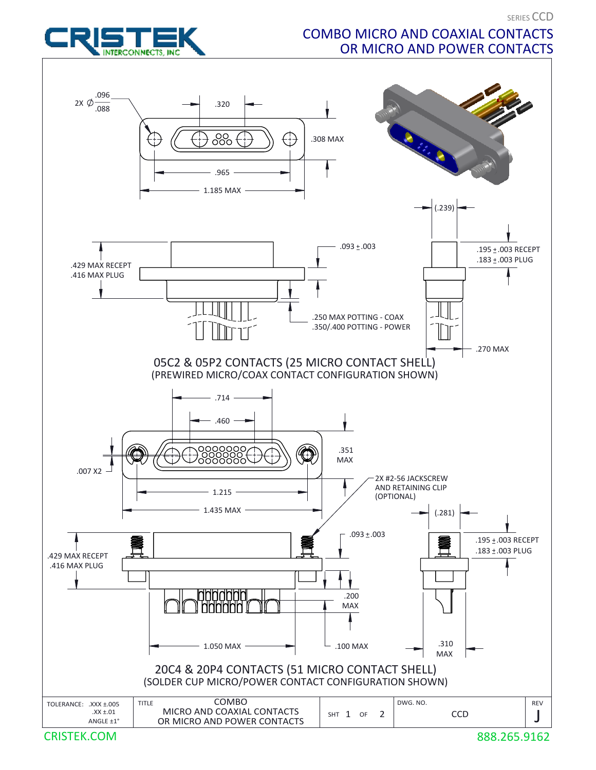

## COMBO MICRO AND COAXIAL CONTACTS OR MICRO AND POWER CONTACTS